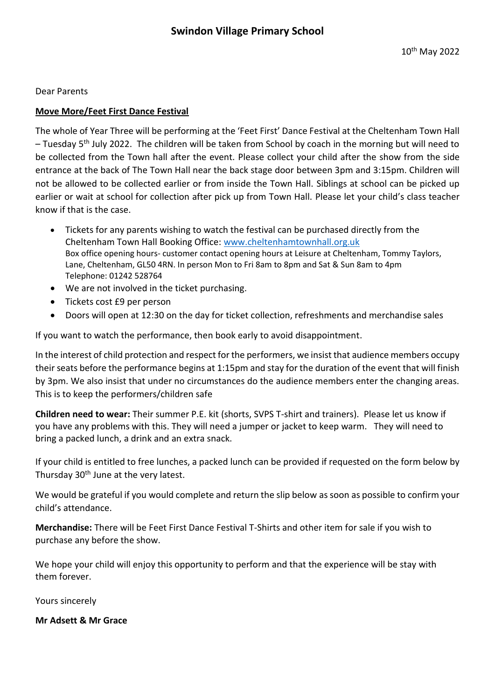Dear Parents

## **Move More/Feet First Dance Festival**

The whole of Year Three will be performing at the 'Feet First' Dance Festival at the Cheltenham Town Hall  $-$  Tuesday 5<sup>th</sup> July 2022. The children will be taken from School by coach in the morning but will need to be collected from the Town hall after the event. Please collect your child after the show from the side entrance at the back of The Town Hall near the back stage door between 3pm and 3:15pm. Children will not be allowed to be collected earlier or from inside the Town Hall. Siblings at school can be picked up earlier or wait at school for collection after pick up from Town Hall. Please let your child's class teacher know if that is the case.

- Tickets for any parents wishing to watch the festival can be purchased directly from the Cheltenham Town Hall Booking Office: [www.cheltenhamtownhall.org.uk](http://www.cheltenhamtownhall.org.uk/) Box office opening hours- customer contact opening hours at Leisure at Cheltenham, Tommy Taylors, Lane, Cheltenham, GL50 4RN. In person Mon to Fri 8am to 8pm and Sat & Sun 8am to 4pm Telephone: 01242 528764
- We are not involved in the ticket purchasing.
- Tickets cost £9 per person
- Doors will open at 12:30 on the day for ticket collection, refreshments and merchandise sales

If you want to watch the performance, then book early to avoid disappointment.

In the interest of child protection and respect for the performers, we insist that audience members occupy their seats before the performance begins at 1:15pm and stay for the duration of the event that will finish by 3pm. We also insist that under no circumstances do the audience members enter the changing areas. This is to keep the performers/children safe

**Children need to wear:** Their summer P.E. kit (shorts, SVPS T-shirt and trainers). Please let us know if you have any problems with this. They will need a jumper or jacket to keep warm. They will need to bring a packed lunch, a drink and an extra snack.

If your child is entitled to free lunches, a packed lunch can be provided if requested on the form below by Thursday 30<sup>th</sup> June at the very latest.

We would be grateful if you would complete and return the slip below as soon as possible to confirm your child's attendance.

**Merchandise:** There will be Feet First Dance Festival T-Shirts and other item for sale if you wish to purchase any before the show.

We hope your child will enjoy this opportunity to perform and that the experience will be stay with them forever.

Yours sincerely

**Mr Adsett & Mr Grace**